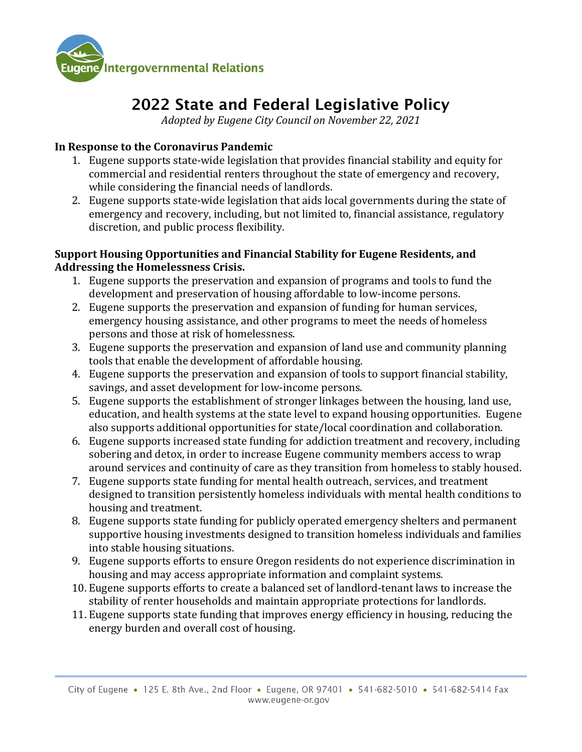

# 2022 State and Federal Legislative Policy

*Adopted by Eugene City Council on November 22, 2021*

#### **In Response to the Coronavirus Pandemic**

- 1. Eugene supports state-wide legislation that provides financial stability and equity for commercial and residential renters throughout the state of emergency and recovery, while considering the financial needs of landlords.
- 2. Eugene supports state-wide legislation that aids local governments during the state of emergency and recovery, including, but not limited to, financial assistance, regulatory discretion, and public process flexibility.

#### **Support Housing Opportunities and Financial Stability for Eugene Residents, and Addressing the Homelessness Crisis.**

- 1. Eugene supports the preservation and expansion of programs and tools to fund the development and preservation of housing affordable to low-income persons.
- 2. Eugene supports the preservation and expansion of funding for human services, emergency housing assistance, and other programs to meet the needs of homeless persons and those at risk of homelessness.
- 3. Eugene supports the preservation and expansion of land use and community planning tools that enable the development of affordable housing.
- 4. Eugene supports the preservation and expansion of tools to support financial stability, savings, and asset development for low-income persons.
- 5. Eugene supports the establishment of stronger linkages between the housing, land use, education, and health systems at the state level to expand housing opportunities. Eugene also supports additional opportunities for state/local coordination and collaboration.
- 6. Eugene supports increased state funding for addiction treatment and recovery, including sobering and detox, in order to increase Eugene community members access to wrap around services and continuity of care as they transition from homeless to stably housed.
- 7. Eugene supports state funding for mental health outreach, services, and treatment designed to transition persistently homeless individuals with mental health conditions to housing and treatment.
- 8. Eugene supports state funding for publicly operated emergency shelters and permanent supportive housing investments designed to transition homeless individuals and families into stable housing situations.
- 9. Eugene supports efforts to ensure Oregon residents do not experience discrimination in housing and may access appropriate information and complaint systems.
- 10. Eugene supports efforts to create a balanced set of landlord-tenant laws to increase the stability of renter households and maintain appropriate protections for landlords.
- 11. Eugene supports state funding that improves energy efficiency in housing, reducing the energy burden and overall cost of housing.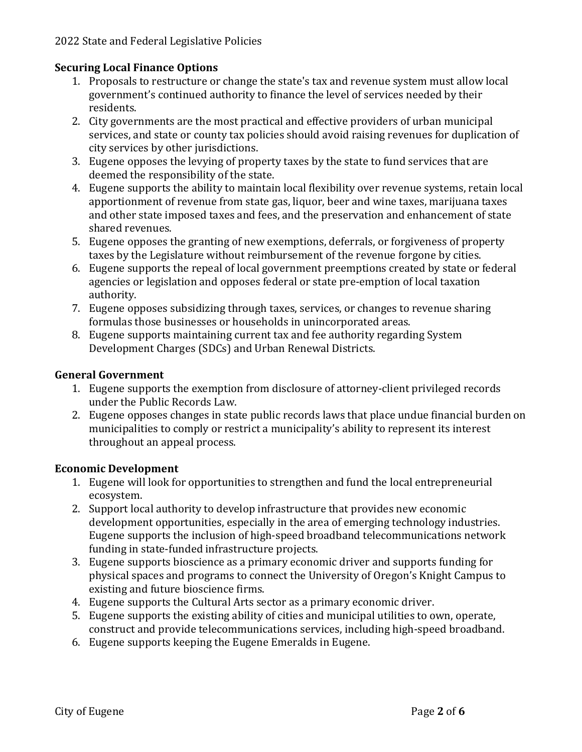### **Securing Local Finance Options**

- 1. Proposals to restructure or change the state's tax and revenue system must allow local government's continued authority to finance the level of services needed by their residents.
- 2. City governments are the most practical and effective providers of urban municipal services, and state or county tax policies should avoid raising revenues for duplication of city services by other jurisdictions.
- 3. Eugene opposes the levying of property taxes by the state to fund services that are deemed the responsibility of the state.
- 4. Eugene supports the ability to maintain local flexibility over revenue systems, retain local apportionment of revenue from state gas, liquor, beer and wine taxes, marijuana taxes and other state imposed taxes and fees, and the preservation and enhancement of state shared revenues.
- 5. Eugene opposes the granting of new exemptions, deferrals, or forgiveness of property taxes by the Legislature without reimbursement of the revenue forgone by cities.
- 6. Eugene supports the repeal of local government preemptions created by state or federal agencies or legislation and opposes federal or state pre-emption of local taxation authority.
- 7. Eugene opposes subsidizing through taxes, services, or changes to revenue sharing formulas those businesses or households in unincorporated areas.
- 8. Eugene supports maintaining current tax and fee authority regarding System Development Charges (SDCs) and Urban Renewal Districts.

#### **General Government**

- 1. Eugene supports the exemption from disclosure of attorney-client privileged records under the Public Records Law.
- 2. Eugene opposes changes in state public records laws that place undue financial burden on municipalities to comply or restrict a municipality's ability to represent its interest throughout an appeal process.

## **Economic Development**

- 1. Eugene will look for opportunities to strengthen and fund the local entrepreneurial ecosystem.
- 2. Support local authority to develop infrastructure that provides new economic development opportunities, especially in the area of emerging technology industries. Eugene supports the inclusion of high-speed broadband telecommunications network funding in state-funded infrastructure projects.
- 3. Eugene supports bioscience as a primary economic driver and supports funding for physical spaces and programs to connect the University of Oregon's Knight Campus to existing and future bioscience firms.
- 4. Eugene supports the Cultural Arts sector as a primary economic driver.
- 5. Eugene supports the existing ability of cities and municipal utilities to own, operate, construct and provide telecommunications services, including high-speed broadband.
- 6. Eugene supports keeping the Eugene Emeralds in Eugene.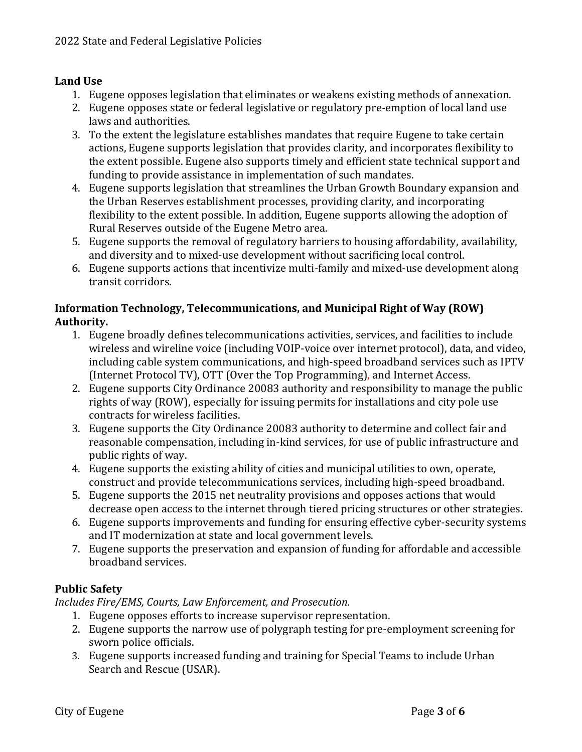#### **Land Use**

- 1. Eugene opposes legislation that eliminates or weakens existing methods of annexation.
- 2. Eugene opposes state or federal legislative or regulatory pre-emption of local land use laws and authorities.
- 3. To the extent the legislature establishes mandates that require Eugene to take certain actions, Eugene supports legislation that provides clarity, and incorporates flexibility to the extent possible. Eugene also supports timely and efficient state technical support and funding to provide assistance in implementation of such mandates.
- 4. Eugene supports legislation that streamlines the Urban Growth Boundary expansion and the Urban Reserves establishment processes, providing clarity, and incorporating flexibility to the extent possible. In addition, Eugene supports allowing the adoption of Rural Reserves outside of the Eugene Metro area.
- 5. Eugene supports the removal of regulatory barriers to housing affordability, availability, and diversity and to mixed-use development without sacrificing local control.
- 6. Eugene supports actions that incentivize multi-family and mixed-use development along transit corridors.

#### **Information Technology, Telecommunications, and Municipal Right of Way (ROW) Authority.**

- 1. Eugene broadly defines telecommunications activities, services, and facilities to include wireless and wireline voice (including VOIP-voice over internet protocol), data, and video, including cable system communications, and high-speed broadband services such as IPTV (Internet Protocol TV), OTT (Over the Top Programming), and Internet Access.
- 2. Eugene supports City Ordinance 20083 authority and responsibility to manage the public rights of way (ROW), especially for issuing permits for installations and city pole use contracts for wireless facilities.
- 3. Eugene supports the City Ordinance 20083 authority to determine and collect fair and reasonable compensation, including in-kind services, for use of public infrastructure and public rights of way.
- 4. Eugene supports the existing ability of cities and municipal utilities to own, operate, construct and provide telecommunications services, including high-speed broadband.
- 5. Eugene supports the 2015 net neutrality provisions and opposes actions that would decrease open access to the internet through tiered pricing structures or other strategies.
- 6. Eugene supports improvements and funding for ensuring effective cyber-security systems and IT modernization at state and local government levels.
- 7. Eugene supports the preservation and expansion of funding for affordable and accessible broadband services.

## **Public Safety**

*Includes Fire/EMS, Courts, Law Enforcement, and Prosecution.* 

- 1. Eugene opposes efforts to increase supervisor representation.
- 2. Eugene supports the narrow use of polygraph testing for pre-employment screening for sworn police officials.
- 3. Eugene supports increased funding and training for Special Teams to include Urban Search and Rescue (USAR).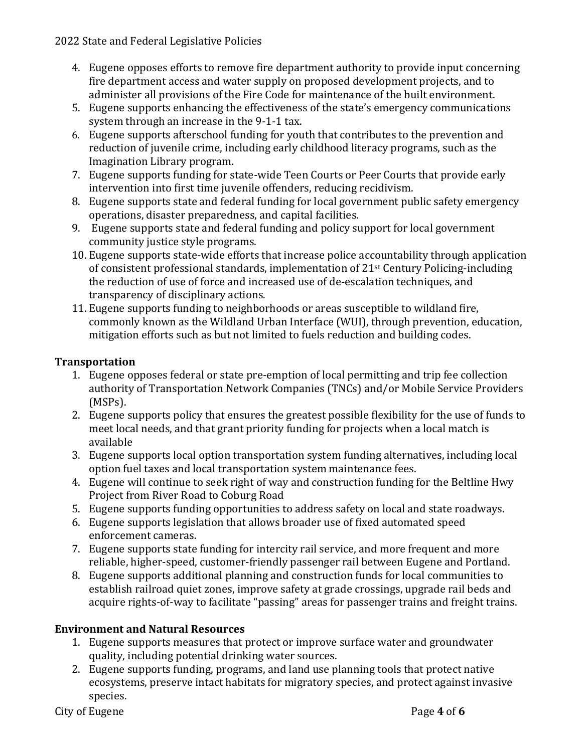- 4. Eugene opposes efforts to remove fire department authority to provide input concerning fire department access and water supply on proposed development projects, and to administer all provisions of the Fire Code for maintenance of the built environment.
- 5. Eugene supports enhancing the effectiveness of the state's emergency communications system through an increase in the 9-1-1 tax.
- 6. Eugene supports afterschool funding for youth that contributes to the prevention and reduction of juvenile crime, including early childhood literacy programs, such as the Imagination Library program.
- 7. Eugene supports funding for state-wide Teen Courts or Peer Courts that provide early intervention into first time juvenile offenders, reducing recidivism.
- 8. Eugene supports state and federal funding for local government public safety emergency operations, disaster preparedness, and capital facilities.
- 9. Eugene supports state and federal funding and policy support for local government community justice style programs.
- 10. Eugene supports state-wide efforts that increase police accountability through application of consistent professional standards, implementation of 21st Century Policing-including the reduction of use of force and increased use of de-escalation techniques, and transparency of disciplinary actions.
- 11. Eugene supports funding to neighborhoods or areas susceptible to wildland fire, commonly known as the Wildland Urban Interface (WUI), through prevention, education, mitigation efforts such as but not limited to fuels reduction and building codes.

# **Transportation**

- 1. Eugene opposes federal or state pre-emption of local permitting and trip fee collection authority of Transportation Network Companies (TNCs) and/or Mobile Service Providers (MSPs).
- 2. Eugene supports policy that ensures the greatest possible flexibility for the use of funds to meet local needs, and that grant priority funding for projects when a local match is available
- 3. Eugene supports local option transportation system funding alternatives, including local option fuel taxes and local transportation system maintenance fees.
- 4. Eugene will continue to seek right of way and construction funding for the Beltline Hwy Project from River Road to Coburg Road
- 5. Eugene supports funding opportunities to address safety on local and state roadways.
- 6. Eugene supports legislation that allows broader use of fixed automated speed enforcement cameras.
- 7. Eugene supports state funding for intercity rail service, and more frequent and more reliable, higher-speed, customer-friendly passenger rail between Eugene and Portland.
- 8. Eugene supports additional planning and construction funds for local communities to establish railroad quiet zones, improve safety at grade crossings, upgrade rail beds and acquire rights-of-way to facilitate "passing" areas for passenger trains and freight trains.

# **Environment and Natural Resources**

- 1. Eugene supports measures that protect or improve surface water and groundwater quality, including potential drinking water sources.
- 2. Eugene supports funding, programs, and land use planning tools that protect native ecosystems, preserve intact habitats for migratory species, and protect against invasive species.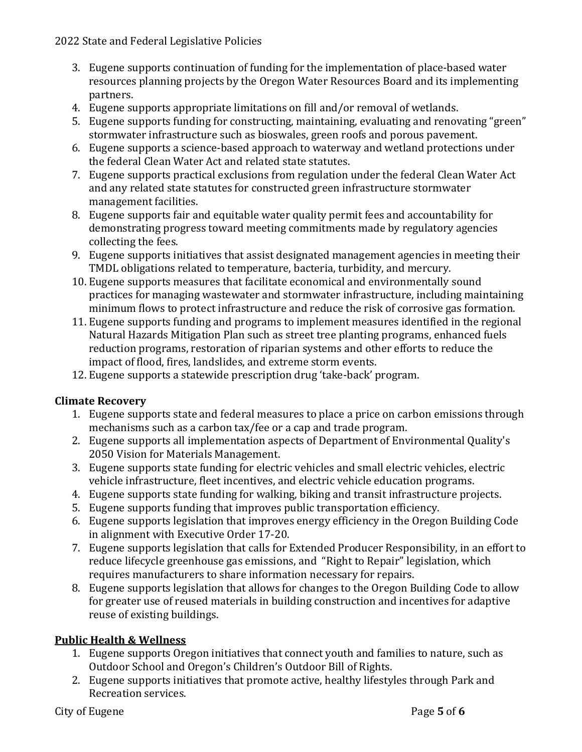- 3. Eugene supports continuation of funding for the implementation of place-based water resources planning projects by the Oregon Water Resources Board and its implementing partners.
- 4. Eugene supports appropriate limitations on fill and/or removal of wetlands.
- 5. Eugene supports funding for constructing, maintaining, evaluating and renovating "green" stormwater infrastructure such as bioswales, green roofs and porous pavement.
- 6. Eugene supports a science-based approach to waterway and wetland protections under the federal Clean Water Act and related state statutes.
- 7. Eugene supports practical exclusions from regulation under the federal Clean Water Act and any related state statutes for constructed green infrastructure stormwater management facilities.
- 8. Eugene supports fair and equitable water quality permit fees and accountability for demonstrating progress toward meeting commitments made by regulatory agencies collecting the fees.
- 9. Eugene supports initiatives that assist designated management agencies in meeting their TMDL obligations related to temperature, bacteria, turbidity, and mercury.
- 10. Eugene supports measures that facilitate economical and environmentally sound practices for managing wastewater and stormwater infrastructure, including maintaining minimum flows to protect infrastructure and reduce the risk of corrosive gas formation.
- 11. Eugene supports funding and programs to implement measures identified in the regional Natural Hazards Mitigation Plan such as street tree planting programs, enhanced fuels reduction programs, restoration of riparian systems and other efforts to reduce the impact of flood, fires, landslides, and extreme storm events.
- 12. Eugene supports a statewide prescription drug 'take-back' program.

## **Climate Recovery**

- 1. Eugene supports state and federal measures to place a price on carbon emissions through mechanisms such as a carbon tax/fee or a cap and trade program.
- 2. Eugene supports all implementation aspects of Department of Environmental Quality's 2050 Vision for Materials Management.
- 3. Eugene supports state funding for electric vehicles and small electric vehicles, electric vehicle infrastructure, fleet incentives, and electric vehicle education programs.
- 4. Eugene supports state funding for walking, biking and transit infrastructure projects.
- 5. Eugene supports funding that improves public transportation efficiency.
- 6. Eugene supports legislation that improves energy efficiency in the Oregon Building Code in alignment with Executive Order 17-20.
- 7. Eugene supports legislation that calls for Extended Producer Responsibility, in an effort to reduce lifecycle greenhouse gas emissions, and "Right to Repair" legislation, which requires manufacturers to share information necessary for repairs.
- 8. Eugene supports legislation that allows for changes to the Oregon Building Code to allow for greater use of reused materials in building construction and incentives for adaptive reuse of existing buildings.

# **Public Health & Wellness**

- 1. Eugene supports Oregon initiatives that connect youth and families to nature, such as Outdoor School and Oregon's Children's Outdoor Bill of Rights.
- 2. Eugene supports initiatives that promote active, healthy lifestyles through Park and Recreation services.